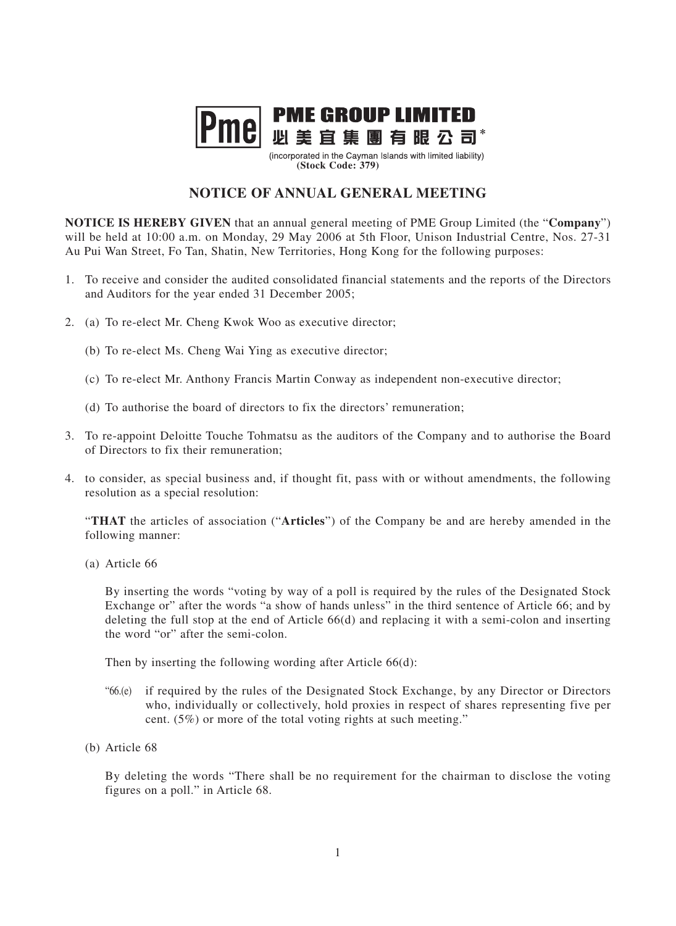

(incorporated in the Cayman Islands with limited liability) **(Stock Code: 379)**

## **NOTICE OF ANNUAL GENERAL MEETING**

**NOTICE IS HEREBY GIVEN** that an annual general meeting of PME Group Limited (the "**Company**") will be held at 10:00 a.m. on Monday, 29 May 2006 at 5th Floor, Unison Industrial Centre, Nos. 27-31 Au Pui Wan Street, Fo Tan, Shatin, New Territories, Hong Kong for the following purposes:

- 1. To receive and consider the audited consolidated financial statements and the reports of the Directors and Auditors for the year ended 31 December 2005;
- 2. (a) To re-elect Mr. Cheng Kwok Woo as executive director;
	- (b) To re-elect Ms. Cheng Wai Ying as executive director;
	- (c) To re-elect Mr. Anthony Francis Martin Conway as independent non-executive director;
	- (d) To authorise the board of directors to fix the directors' remuneration;
- 3. To re-appoint Deloitte Touche Tohmatsu as the auditors of the Company and to authorise the Board of Directors to fix their remuneration;
- 4. to consider, as special business and, if thought fit, pass with or without amendments, the following resolution as a special resolution:

"**THAT** the articles of association ("**Articles**") of the Company be and are hereby amended in the following manner:

(a) Article 66

By inserting the words "voting by way of a poll is required by the rules of the Designated Stock Exchange or" after the words "a show of hands unless" in the third sentence of Article 66; and by deleting the full stop at the end of Article 66(d) and replacing it with a semi-colon and inserting the word "or" after the semi-colon.

Then by inserting the following wording after Article 66(d):

- "66.(e) if required by the rules of the Designated Stock Exchange, by any Director or Directors who, individually or collectively, hold proxies in respect of shares representing five per cent. (5%) or more of the total voting rights at such meeting."
- (b) Article 68

By deleting the words "There shall be no requirement for the chairman to disclose the voting figures on a poll." in Article 68.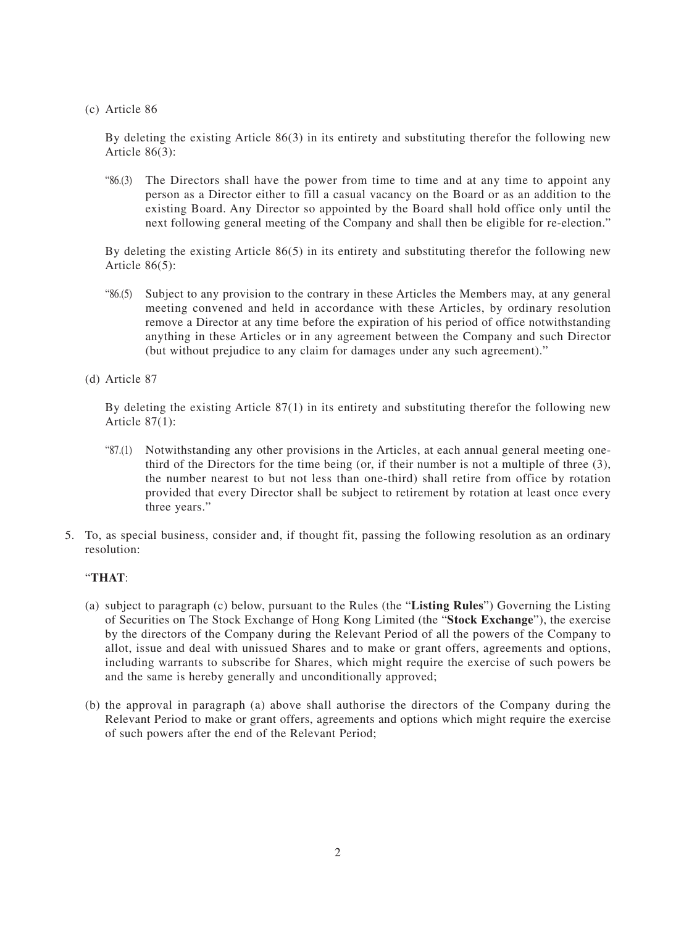(c) Article 86

By deleting the existing Article 86(3) in its entirety and substituting therefor the following new Article 86(3):

"86.(3) The Directors shall have the power from time to time and at any time to appoint any person as a Director either to fill a casual vacancy on the Board or as an addition to the existing Board. Any Director so appointed by the Board shall hold office only until the next following general meeting of the Company and shall then be eligible for re-election."

By deleting the existing Article 86(5) in its entirety and substituting therefor the following new Article 86(5):

- "86.(5) Subject to any provision to the contrary in these Articles the Members may, at any general meeting convened and held in accordance with these Articles, by ordinary resolution remove a Director at any time before the expiration of his period of office notwithstanding anything in these Articles or in any agreement between the Company and such Director (but without prejudice to any claim for damages under any such agreement)."
- (d) Article 87

By deleting the existing Article 87(1) in its entirety and substituting therefor the following new Article 87(1):

- "87.(1) Notwithstanding any other provisions in the Articles, at each annual general meeting onethird of the Directors for the time being (or, if their number is not a multiple of three (3), the number nearest to but not less than one-third) shall retire from office by rotation provided that every Director shall be subject to retirement by rotation at least once every three years."
- 5. To, as special business, consider and, if thought fit, passing the following resolution as an ordinary resolution:

## "**THAT**:

- (a) subject to paragraph (c) below, pursuant to the Rules (the "**Listing Rules**") Governing the Listing of Securities on The Stock Exchange of Hong Kong Limited (the "**Stock Exchange**"), the exercise by the directors of the Company during the Relevant Period of all the powers of the Company to allot, issue and deal with unissued Shares and to make or grant offers, agreements and options, including warrants to subscribe for Shares, which might require the exercise of such powers be and the same is hereby generally and unconditionally approved;
- (b) the approval in paragraph (a) above shall authorise the directors of the Company during the Relevant Period to make or grant offers, agreements and options which might require the exercise of such powers after the end of the Relevant Period;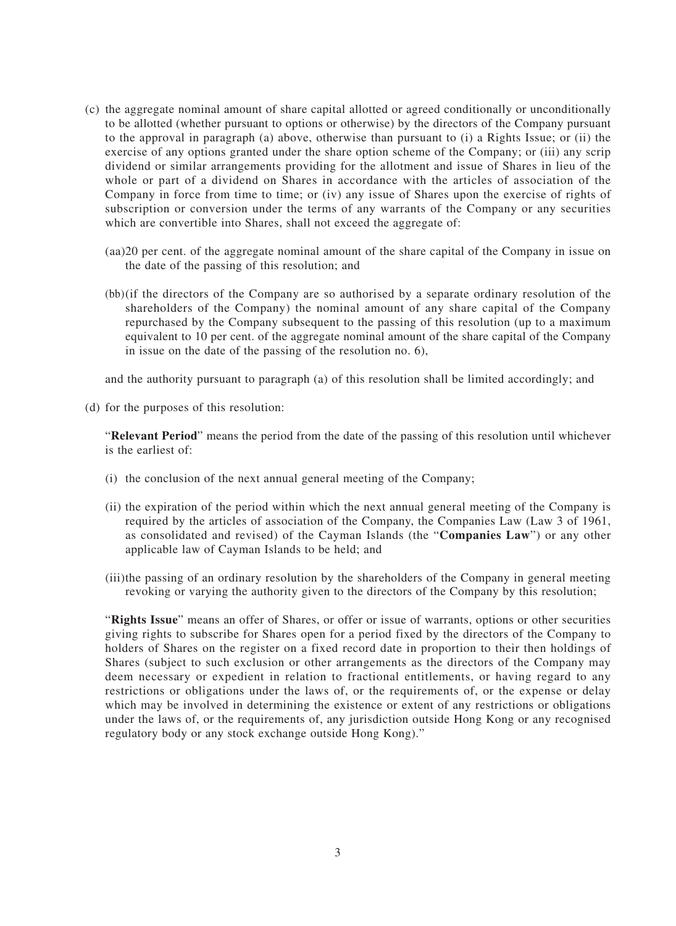- (c) the aggregate nominal amount of share capital allotted or agreed conditionally or unconditionally to be allotted (whether pursuant to options or otherwise) by the directors of the Company pursuant to the approval in paragraph (a) above, otherwise than pursuant to (i) a Rights Issue; or (ii) the exercise of any options granted under the share option scheme of the Company; or (iii) any scrip dividend or similar arrangements providing for the allotment and issue of Shares in lieu of the whole or part of a dividend on Shares in accordance with the articles of association of the Company in force from time to time; or (iv) any issue of Shares upon the exercise of rights of subscription or conversion under the terms of any warrants of the Company or any securities which are convertible into Shares, shall not exceed the aggregate of:
	- (aa)20 per cent. of the aggregate nominal amount of the share capital of the Company in issue on the date of the passing of this resolution; and
	- (bb)(if the directors of the Company are so authorised by a separate ordinary resolution of the shareholders of the Company) the nominal amount of any share capital of the Company repurchased by the Company subsequent to the passing of this resolution (up to a maximum equivalent to 10 per cent. of the aggregate nominal amount of the share capital of the Company in issue on the date of the passing of the resolution no. 6),

and the authority pursuant to paragraph (a) of this resolution shall be limited accordingly; and

(d) for the purposes of this resolution:

"**Relevant Period**" means the period from the date of the passing of this resolution until whichever is the earliest of:

- (i) the conclusion of the next annual general meeting of the Company;
- (ii) the expiration of the period within which the next annual general meeting of the Company is required by the articles of association of the Company, the Companies Law (Law 3 of 1961, as consolidated and revised) of the Cayman Islands (the "**Companies Law**") or any other applicable law of Cayman Islands to be held; and
- (iii)the passing of an ordinary resolution by the shareholders of the Company in general meeting revoking or varying the authority given to the directors of the Company by this resolution;

"**Rights Issue**" means an offer of Shares, or offer or issue of warrants, options or other securities giving rights to subscribe for Shares open for a period fixed by the directors of the Company to holders of Shares on the register on a fixed record date in proportion to their then holdings of Shares (subject to such exclusion or other arrangements as the directors of the Company may deem necessary or expedient in relation to fractional entitlements, or having regard to any restrictions or obligations under the laws of, or the requirements of, or the expense or delay which may be involved in determining the existence or extent of any restrictions or obligations under the laws of, or the requirements of, any jurisdiction outside Hong Kong or any recognised regulatory body or any stock exchange outside Hong Kong)."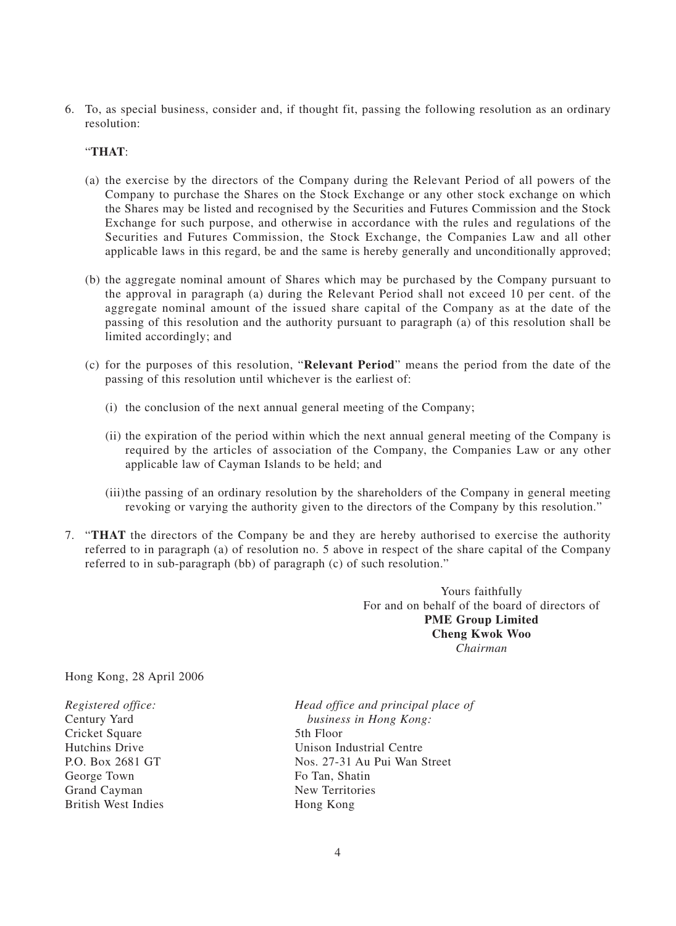6. To, as special business, consider and, if thought fit, passing the following resolution as an ordinary resolution:

"**THAT**:

- (a) the exercise by the directors of the Company during the Relevant Period of all powers of the Company to purchase the Shares on the Stock Exchange or any other stock exchange on which the Shares may be listed and recognised by the Securities and Futures Commission and the Stock Exchange for such purpose, and otherwise in accordance with the rules and regulations of the Securities and Futures Commission, the Stock Exchange, the Companies Law and all other applicable laws in this regard, be and the same is hereby generally and unconditionally approved;
- (b) the aggregate nominal amount of Shares which may be purchased by the Company pursuant to the approval in paragraph (a) during the Relevant Period shall not exceed 10 per cent. of the aggregate nominal amount of the issued share capital of the Company as at the date of the passing of this resolution and the authority pursuant to paragraph (a) of this resolution shall be limited accordingly; and
- (c) for the purposes of this resolution, "**Relevant Period**" means the period from the date of the passing of this resolution until whichever is the earliest of:
	- (i) the conclusion of the next annual general meeting of the Company;
	- (ii) the expiration of the period within which the next annual general meeting of the Company is required by the articles of association of the Company, the Companies Law or any other applicable law of Cayman Islands to be held; and
	- (iii)the passing of an ordinary resolution by the shareholders of the Company in general meeting revoking or varying the authority given to the directors of the Company by this resolution."
- 7. "**THAT** the directors of the Company be and they are hereby authorised to exercise the authority referred to in paragraph (a) of resolution no. 5 above in respect of the share capital of the Company referred to in sub-paragraph (bb) of paragraph (c) of such resolution."

Yours faithfully For and on behalf of the board of directors of **PME Group Limited Cheng Kwok Woo** *Chairman*

Hong Kong, 28 April 2006

Cricket Square 5th Floor George Town Grand Cayman New Territories British West Indies Hong Kong

*Registered office: Head office and principal place of* business in Hong Kong: Hutchins Drive Unison Industrial Centre P.O. Box 2681 GT<br>
George Town<br>
George Town<br>
George Town<br>
George Town